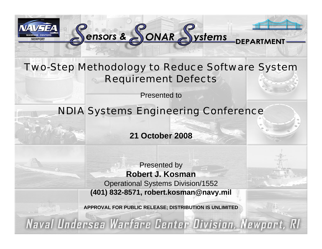

### Two-Step Methodology to Reduce Software System Requirement Defects

-<br>DEPA

Sensors & SONAR Systems

Presented to

### NDIA Systems Engineering Conference

**21 October 2008**

Presented by **Robert J. Kosman** Operational Systems Division/1552 **(401) 832-8571, robert.kosman@navy.mil**

**APPROVAL FOR PUBLIC RELEASE; DISTRIBUTION IS UNLIMITED**

Naval Undersea Warfare Center Division, Newport, RI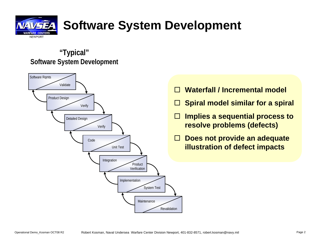

## **Software System Development**

### **"Typical" Software System Development**



- П **Waterfall / Incremental model**
- $\mathcal{L}^{\mathcal{L}}$ **Spiral model similar for a spiral**
- $\Box$  **Implies a sequential process to resolve problems (defects)**
- $\Box$  **Does not provide an adequate illustration of defect impacts**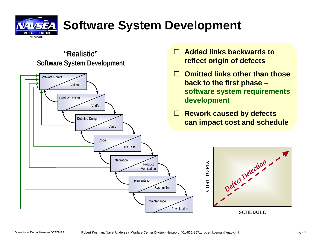

### **Software System Development**

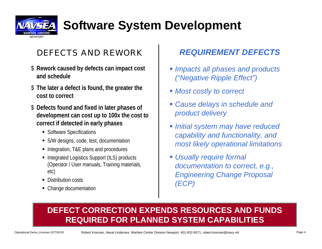

### **Software System Development**

### DEFECTS AND REWORK

- \$ **Rework caused by defects can impact cost and schedule**
- \$ **The later a defect is found, the greater the cost to correct**
- \$ **Defects found and fixed in later phases of development can cost up to 100x the cost to correct if detected in early phases**
	- Software Specifications
	- S/W designs, code, test, documentation
	- Integration, T&E plans and procedures
	- Integrated Logistics Support (ILS) products (Operator / User manuals, Training materials, etc)
	- Distribution costs
	- Change documentation

### *REQUIREMENT DEFECTS*

- *Impacts all phases and products ("Negative Ripple Effect")*
- *Most costly to correct*
- *Cause delays in schedule and product delivery*
- *Initial system may have reduced capability and functionality, and most likely operational limitations*
- *Usually require formal documentation to correct, e.g., Engineering Change Proposal (ECP)*

### **DEFECT CORRECTION EXPENDS RESOURCES AND FUNDS REQUIRED FOR PLANNED SYSTEM CAPABILITIES**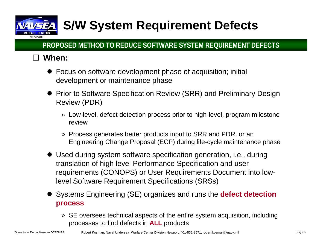## **S/W System Requirement Defects**

### **PROPOSED METHOD TO REDUCE SOFTWARE SYSTEM REQUIREMENT DEFECTS**

### **When:**

NFWPOR<sup>®</sup>

- Focus on software development phase of acquisition; initial development or maintenance phase
- Prior to Software Specification Review (SRR) and Preliminary Design Review (PDR)
	- » Low-level, defect detection process prior to high-level, program milestone review
	- » Process generates better products input to SRR and PDR, or an Engineering Change Proposal (ECP) during life-cycle maintenance phase
- Used during system software specification generation, i.e., during translation of high level Performance Specification and user requirements (CONOPS) or User Requirements Document into lowlevel Software Requirement Specifications (SRSs)
- **•** Systems Engineering (SE) organizes and runs the **defect detection process**
	- » SE oversees technical aspects of the entire system acquisition, including processes to find defects in **ALL** products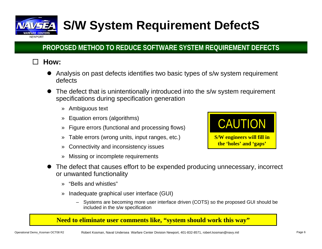

## **S/W System Requirement DefectS**

### **PROPOSED METHOD TO REDUCE SOFTWARE SYSTEM REQUIREMENT DEFECTS**

#### $\Box$ **How:**

- $\bullet$  Analysis on past defects identifies two basic types of s/w system requirement defects
- $\bullet$  The defect that is unintentionally introduced into the s/w system requirement specifications during specification generation
	- » Ambiguous text
	- »Equation errors (algorithms)
	- »Figure errors (functional and processing flows)
	- »Table errors (wrong units, input ranges, etc.)
	- »Connectivity and inconsistency issues
	- »Missing or incomplete requirements



- $\bullet$  The defect that causes effort to be expended producing unnecessary, incorrect or unwanted functionality
	- »"Bells and whistles"
	- » Inadequate graphical user interface (GUI)
		- Systems are becoming more user interface driven (COTS) so the proposed GUI should be included in the s/w specification

#### **Need to eliminate user comments like, "system should work this way"**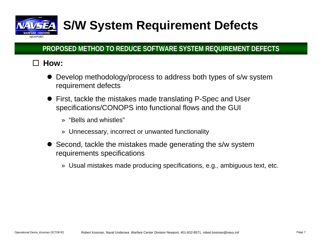

## **S/W System Requirement Defects**

### **PROPOSED METHOD TO REDUCE SOFTWARE SYSTEM REQUIREMENT DEFECTS**

#### $\Box$ **How:**

- $\bullet$  Develop methodology/process to address both types of s/w system requirement defects
- First, tackle the mistakes made translating P-Spec and User specifications/CONOPS into functional flows and the GUI
	- » "Bells and whistles"
	- » Unnecessary, incorrect or unwanted functionality
- Second, tackle the mistakes made generating the s/w system requirements specifications
	- » Usual mistakes made producing specifications, e.g., ambiguous text, etc.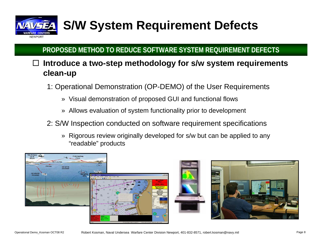

## **S/W System Requirement Defects**

### **PROPOSED METHOD TO REDUCE SOFTWARE SYSTEM REQUIREMENT DEFECTS**

#### $\Box$  **Introduce a two-step methodology for s/w system requirements clean-up**

- 1: Operational Demonstration (OP-DEMO) of the User Requirements
	- » Visual demonstration of proposed GUI and functional flows
	- » Allows evaluation of system functionality prior to development
- 2: S/W Inspection conducted on software requirement specifications
	- » Rigorous review originally developed for s/w but can be applied to any "readable" products

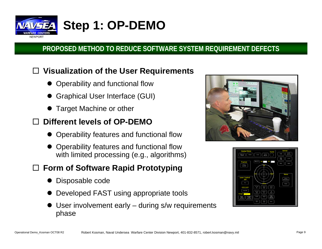

### **Step 1: OP-DEMO**

### **PROPOSED METHOD TO REDUCE SOFTWARE SYSTEM REQUIREMENT DEFECTS**

#### $\Box$ **Visualization of the User Requirements**

- $\bullet$ Operability and functional flow
- $\bullet$ Graphical User Interface (GUI)
- $\bullet$ Target Machine or other

#### $\Box$ **Different levels of OP-DEMO**

- Operability features and functional flow
- $\bullet$  Operability features and functional flow with limited processing (e.g., algorithms)

### **Form of Software Rapid Prototyping**

- $\bullet$ Disposable code
- $\bullet$ Developed FAST using appropriate tools
- $\bullet$  User involvement early – during s/w requirements phase



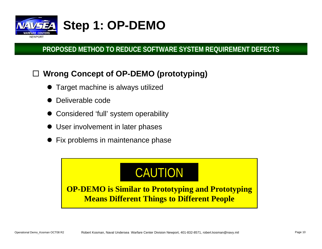

#### $\Box$ **Wrong Concept of OP-DEMO (prototyping)**

- $\bullet$ Target machine is always utilized
- $\bullet$ Deliverable code
- $\bullet$ Considered 'full' system operability
- $\bullet$ User involvement in later phases
- $\bullet$ Fix problems in maintenance phase

## CAUTION

**OP-DEMO is Similar to Prototyping and Prototyping Means Different Things to Different People**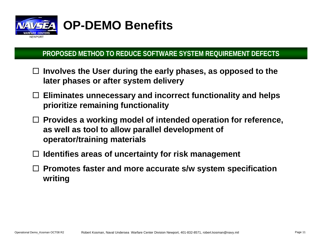

### **OP-DEMO Benefits**

### **PROPOSED METHOD TO REDUCE SOFTWARE SYSTEM REQUIREMENT DEFECTS**

- **Involves the User during the early phases, as opposed to the later phases or after system delivery**
- **Eliminates unnecessary and incorrect functionality and helps prioritize remaining functionality**
- **Provides a working model of intended operation for reference, as well as tool to allow parallel development of operator/training materials**
- **Identifies areas of uncertainty for risk management**
- **Promotes faster and more accurate s/w system specification writing**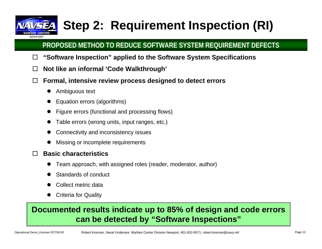# NFWPORT

## **Step 2: Requirement Inspection (RI)**

### **PROPOSED METHOD TO REDUCE SOFTWARE SYSTEM REQUIREMENT DEFECTS**

- $\Box$ **"Software Inspection" applied to the Software System Specifications**
- $\Box$ **Not like an informal 'Code Walkthrough'**
- $\Box$  **Formal, intensive review process designed to detect errors**
	- $\bullet$ Ambiguous text
	- $\bullet$ Equation errors (algorithms)
	- $\bullet$ Figure errors (functional and processing flows)
	- $\bullet$ Table errors (wrong units, input ranges, etc.)
	- $\bullet$ Connectivity and inconsistency issues
	- $\bullet$ Missing or incomplete requirements

#### $\Box$ **Basic characteristics**

- $\bullet$ Team approach, with assigned roles (reader, moderator, author)
- $\bullet$ Standards of conduct
- $\bullet$ Collect metric data
- $\bullet$ Criteria for Quality

### **Documented results indicate up to 85% of design and code errors can be detected by "Software Inspections"**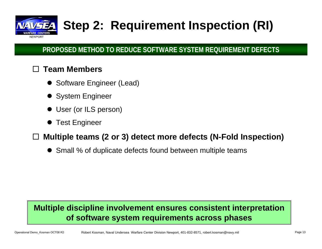

## **Step 2: Requirement Inspection (RI)**

### **PROPOSED METHOD TO REDUCE SOFTWARE SYSTEM REQUIREMENT DEFECTS**

#### $\Box$ **Team Members**

- Software Engineer (Lead)
- System Engineer
- $\bullet$ User (or ILS person)
- $\bullet$ Test Engineer

#### $\Box$ **Multiple teams (2 or 3) detect more defects (N-Fold Inspection)**

 $\bullet$ Small % of duplicate defects found between multiple teams

### **Multiple discipline involvement ensures consistent interpretation of software system requirements across phases**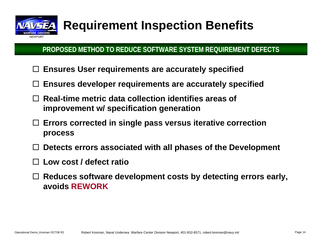

## **Requirement Inspection Benefits**

### **PROPOSED METHOD TO REDUCE SOFTWARE SYSTEM REQUIREMENT DEFECTS**

- **Ensures User requirements are accurately specified**
- $\Box$ **Ensures developer requirements are accurately specified**
- **Real-time metric data collection identifies areas of improvement w/ specification generation**
- $\Box$  **Errors corrected in single pass versus iterative correction process**
- **Detects errors associated with all phases of the Development**
- $\Box$ **Low cost / defect ratio**
- **Reduces software development costs by detecting errors early, avoids REWORK**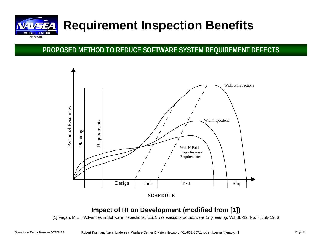

### **Requirement Inspection Benefits**

#### **PROPOSED METHOD TO REDUCE SOFTWARE SYSTEM REQUIREMENT DEFECTS**



#### **Impact of RI on Development (modified from [1])**

[1] Fagan, M.E., "Advances in Software Inspections," *IEEE Transactions on Software Engineering,* Vol SE-12, No. 7, July 1986

Operational Demo\_Kosman OCT08 R2 Robert Kosman, Naval Undersea Warfare Center Division Newport, 401-832-8571, robert.kosman@navy.mil Page 15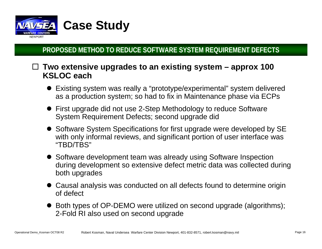

### **Two extensive upgrades to an existing system – approx 100 KSLOC each**

- Existing system was really a "prototype/experimental" system delivered as a production system; so had to fix in Maintenance phase via ECPs
- First upgrade did not use 2-Step Methodology to reduce Software System Requirement Defects; second upgrade did
- Software System Specifications for first upgrade were developed by SE with only informal reviews, and significant portion of user interface was "TBD/TBS"
- Software development team was already using Software Inspection during development so extensive defect metric data was collected during both upgrades
- Causal analysis was conducted on all defects found to determine origin of defect
- Both types of OP-DEMO were utilized on second upgrade (algorithms); 2-Fold RI also used on second upgrade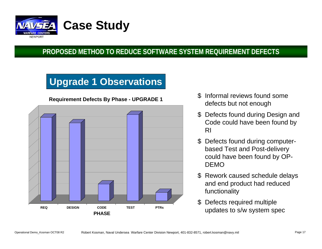

### **Upgrade 1 Observations**



**Requirement Defects By Phase - UPGRADE 1**

- \$ Informal reviews found some defects but not enough
- \$ Defects found during Design and Code could have been found by RI
- \$ Defects found during computerbased Test and Post-delivery could have been found by OP-DEMO
- \$ Rework caused schedule delays and end product had reduced functionality
- \$ Defects required multiple updates to s/w system spec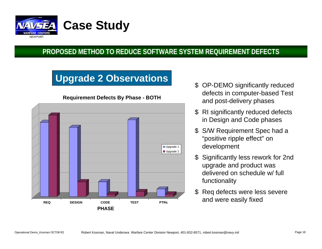

## **Upgrade 2 Observations** \$ OP-DEMO significantly reduced



**Requirement Defects By Phase - BOTH**

- defects in computer-based Test and post-delivery phases
- \$ RI significantly reduced defects in Design and Code phases
- \$ S/W Requirement Spec had a "positive ripple effect" on development
- Significantly less rework for 2nd upgrade and product was delivered on schedule w/ full functionality
- \$ Req defects were less severe